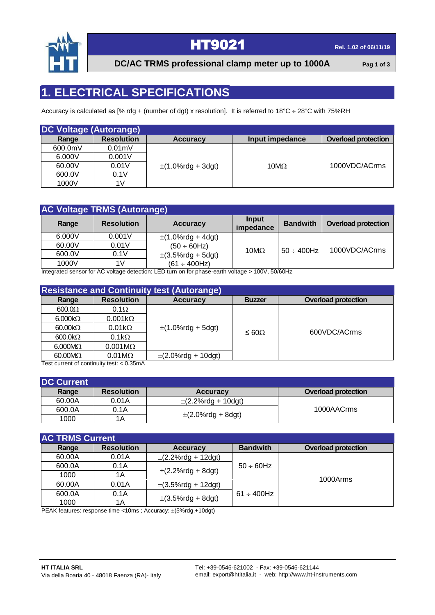

### **HT9021 Rel. 1.02** of 06/11/19

**DC/AC TRMS professional clamp meter up to 1000A Pag 1 of 3**

#### **1. ELECTRICAL SPECIFICATIONS**

Accuracy is calculated as [% rdg + (number of dgt) x resolution]. It is referred to 18°C ÷ 28°C with 75%RH

| <b>DC Voltage (Autorange)</b> |                   |                        |                 |                            |
|-------------------------------|-------------------|------------------------|-----------------|----------------------------|
| Range                         | <b>Resolution</b> | <b>Accuracy</b>        | Input impedance | <b>Overload protection</b> |
| 600.0mV                       | $0.01$ m $V$      |                        |                 |                            |
| 6.000V                        | 0.001V            |                        |                 |                            |
| 60.00V                        | 0.01V             | $\pm$ (1.0%rdg + 3dgt) | $10M\Omega$     | 1000VDC/ACrms              |
| 600.0V                        | 0.1V              |                        |                 |                            |
| 1000V                         | 1V                |                        |                 |                            |

|        | <b>AC Voltage TRMS (Autorange)</b> |                        |                    |                  |                            |  |
|--------|------------------------------------|------------------------|--------------------|------------------|----------------------------|--|
| Range  | <b>Resolution</b>                  | <b>Accuracy</b>        | Input<br>impedance | <b>Bandwith</b>  | <b>Overload protection</b> |  |
| 6.000V | 0.001V                             | $\pm$ (1.0%rdg + 4dgt) |                    |                  |                            |  |
| 60.00V | 0.01V                              | $(50 \div 60$ Hz)      |                    |                  |                            |  |
| 600.0V | 0.1V                               | $\pm$ (3.5%rdg + 5dgt) | $10M\Omega$        | $50 \div 400$ Hz | 1000VDC/ACrms              |  |
| 1000V  | 1V                                 | $(61 \div 400$ Hz)     |                    |                  |                            |  |

Integrated sensor for AC voltage detection: LED turn on for phase-earth voltage > 100V, 50/60Hz

| <b>Resistance and Continuity test (Autorange)</b>                                       |                       |                         |                 |                            |  |
|-----------------------------------------------------------------------------------------|-----------------------|-------------------------|-----------------|----------------------------|--|
| Range                                                                                   | <b>Resolution</b>     | <b>Accuracy</b>         | <b>Buzzer</b>   | <b>Overload protection</b> |  |
| 600.0 <omega< td=""><td><math>0.1\Omega</math></td><td></td><td></td><td></td></omega<> | $0.1\Omega$           |                         |                 |                            |  |
| $6.000k\Omega$                                                                          | $0.001k\Omega$        | $\pm$ (1.0%rdg + 5dgt)  |                 |                            |  |
| $60.00 \text{k}\Omega$                                                                  | $0.01k\Omega$         |                         |                 | 600VDC/ACrms               |  |
| $600.0 k\Omega$                                                                         | $0.1k\Omega$          |                         | $\leq 60\Omega$ |                            |  |
| $6.000M\Omega$                                                                          | $0.001M\Omega$        |                         |                 |                            |  |
| $60.00M\Omega$                                                                          | $0.01 \text{M}\Omega$ | $\pm$ (2.0%rdg + 10dgt) |                 |                            |  |
| $Toot$ current of continuity tooty $\Omega$ $QF$ m $\Lambda$                            |                       |                         |                 |                            |  |

Test current of continuity test: < 0.35mA

| <b>DC Current</b> |                   |                         |                            |
|-------------------|-------------------|-------------------------|----------------------------|
| Range             | <b>Resolution</b> | <b>Accuracy</b>         | <b>Overload protection</b> |
| 60.00A            | 0.01A             | $\pm$ (2.2%rdg + 10dgt) |                            |
| 600.0A            | 0.1A              |                         | 1000AACrms                 |
| 1000              | 1Α                | $\pm$ (2.0%rdg + 8dgt)  |                            |

| <b>AC TRMS Current</b> |                   |                         |                  |                            |  |
|------------------------|-------------------|-------------------------|------------------|----------------------------|--|
| Range                  | <b>Resolution</b> | <b>Accuracy</b>         | <b>Bandwith</b>  | <b>Overload protection</b> |  |
| 60.00A                 | 0.01A             | $\pm$ (2.2%rdg + 12dgt) |                  |                            |  |
| 600.0A                 | 0.1A              |                         | $50 \div 60$ Hz  |                            |  |
| 1000                   | 1Α                | $\pm$ (2.2%rdg + 8dgt)  |                  | 1000Arms                   |  |
| 60.00A                 | 0.01A             | $\pm$ (3.5%rdg + 12dgt) |                  |                            |  |
| 600.0A                 | 0.1A              |                         | $61 \div 400$ Hz |                            |  |
| 1000                   | 1Α                | $\pm$ (3.5%rdg + 8dgt)  |                  |                            |  |

PEAK features: response time <10ms ; Accuracy:  $\pm$ (5%rdg.+10dgt)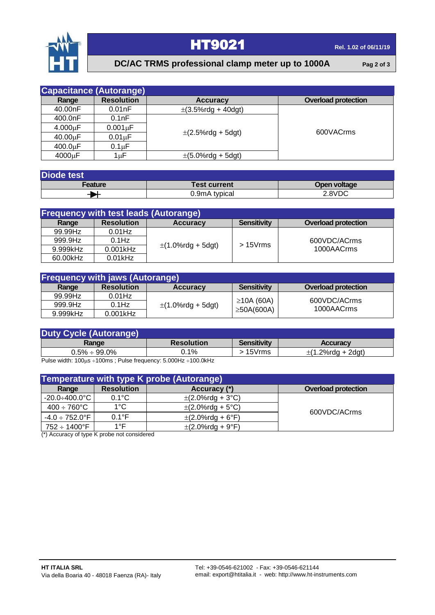

## **HT9021 Rel. 1.02** of 06/11/19

#### **DC/AC TRMS professional clamp meter up to 1000A Pag 2 of 3**

|               | <b>Capacitance (Autorange)</b> |                         |                            |
|---------------|--------------------------------|-------------------------|----------------------------|
| Range         | <b>Resolution</b>              | <b>Accuracy</b>         | <b>Overload protection</b> |
| 40.00nF       | 0.01nF                         | $\pm$ (3.5%rdg + 40dgt) |                            |
| 400.0nF       | 0.1nF                          |                         |                            |
| $4.000 \mu F$ | $0.001 \mu F$                  |                         | 600VACrms                  |
| $40.00 \mu F$ | $0.01 \mu F$                   | $\pm$ (2.5%rdg + 5dgt)  |                            |
| $400.0 \mu F$ | $0.1 \mu F$                    |                         |                            |
| 4000µF        | 1uF                            | $\pm$ (5.0%rdg + 5dgt)  |                            |

| <b>Diode test</b> |                     |              |  |  |
|-------------------|---------------------|--------------|--|--|
| Feature           | <b>Test current</b> | Open voltage |  |  |
|                   | 0.9mA typical       | 2.8VDC       |  |  |

| <b>Frequency with test leads (Autorange)</b> |                   |                        |                    |                            |  |
|----------------------------------------------|-------------------|------------------------|--------------------|----------------------------|--|
| Range                                        | <b>Resolution</b> | <b>Accuracy</b>        | <b>Sensitivity</b> | <b>Overload protection</b> |  |
| 99.99Hz                                      | $0.01$ Hz         |                        |                    |                            |  |
| 999.9Hz                                      | $0.1$ Hz          |                        | $>15V$ rms         | 600VDC/ACrms               |  |
| 9.999kHz                                     | $0.001$ kHz       | $\pm$ (1.0%rdg + 5dgt) |                    | 1000AACrms                 |  |
| 60.00kHz                                     | $0.01$ kHz        |                        |                    |                            |  |

| <b>Frequency with jaws (Autorange)</b> |                   |                        |                    |                            |
|----------------------------------------|-------------------|------------------------|--------------------|----------------------------|
| Range                                  | <b>Resolution</b> | <b>Accuracy</b>        | <b>Sensitivity</b> | <b>Overload protection</b> |
| 99.99Hz                                | $0.01$ Hz         |                        |                    |                            |
| 999.9Hz                                | $0.1$ Hz          | $\pm$ (1.0%rdg + 5dgt) | $\geq$ 10A (60A)   | 600VDC/ACrms<br>1000AACrms |
| 9.999kHz                               | $0.001$ kHz       |                        | $\geq$ 50A(600A)   |                            |

| <b>Duty Cycle (Autorange)</b> |                   |                    |                        |
|-------------------------------|-------------------|--------------------|------------------------|
| Range                         | <b>Resolution</b> | <b>Sensitivity</b> | <b>Accuracy</b>        |
| $0.5\% \div 99.0\%$           | $0.1\%$           | 15Vrms             | $\pm$ (1.2%rda + 2dat) |

Pulse width:  $100\mu s \div 100\text{ms}$ ; Pulse frequency:  $5.000\text{Hz} \div 100.0\text{kHz}$ 

| Temperature with type K probe (Autorange) |                   |                       |                            |  |  |
|-------------------------------------------|-------------------|-----------------------|----------------------------|--|--|
| Range                                     | <b>Resolution</b> | Accuracy (*)          | <b>Overload protection</b> |  |  |
| -20.0÷400.0°C I                           | $0.1^{\circ}$ C   | $\pm$ (2.0%rdg + 3°C) |                            |  |  |
| $400 \div 760^{\circ} \text{C}$           | $1^{\circ}$ C     | $\pm$ (2.0%rdg + 5°C) | 600VDC/ACrms               |  |  |
| $-4.0 \div 752.0^{\circ}$ F               | $0.1^{\circ}$ F   | $\pm$ (2.0%rdg + 6°F) |                            |  |  |
| 752 ÷ 1400°F                              | 1°F               | $\pm$ (2.0%rdg + 9°F) |                            |  |  |

(\*) Accuracy of type K probe not considered